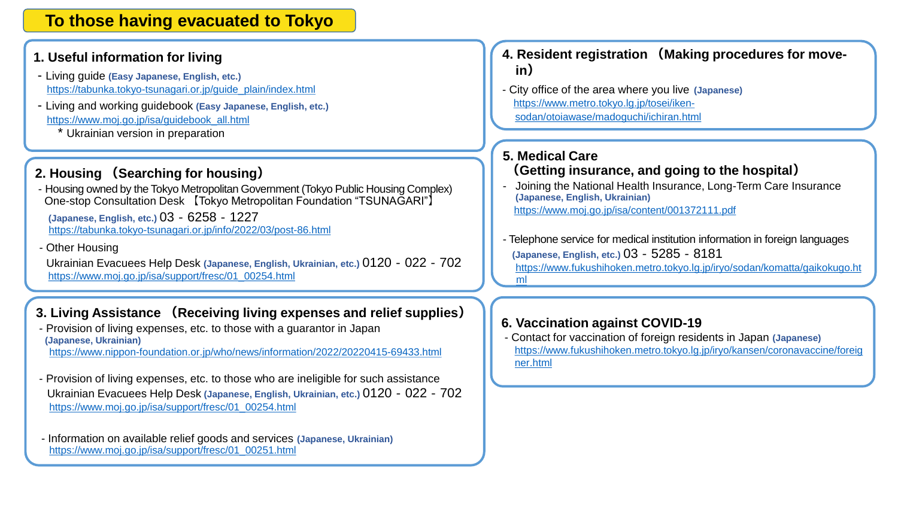# **To those having evacuated to Tokyo**

#### **1. Useful information for living**

- Living guide **(Easy Japanese, English, etc.)** [https://tabunka.tokyo-tsunagari.or.jp/guide\\_plain/index.html](https://tabunka.tokyo-tsunagari.or.jp/guide_plain/index.html)
- Living and working guidebook **(Easy Japanese, English, etc.)** [https://www.moj.go.jp/isa/guidebook\\_all.html](https://www.moj.go.jp/isa/guidebook_all.html)
	- \* Ukrainian version in preparation

# **2. Housing (Searching for housing)**

- Housing owned by the Tokyo Metropolitan Government (Tokyo Public Housing Complex) One-stop Consultation Desk 【Tokyo Metropolitan Foundation "TSUNAGARI"】

**(Japanese, English, etc.)** 03‐6258‐1227 <https://tabunka.tokyo-tsunagari.or.jp/info/2022/03/post-86.html>

- Other Housing

Ukrainian Evacuees Help Desk **(Japanese, English, Ukrainian, etc.)** 0120‐022‐702 [https://www.moj.go.jp/isa/support/fresc/01\\_00254.html](https://www.moj.go.jp/isa/support/fresc/01_00254.html)

### **3. Living Assistance (Receiving living expenses and relief supplies)**

- Provision of living expenses, etc. to those with a guarantor in Japan **(Japanese, Ukrainian)** <https://www.nippon-foundation.or.jp/who/news/information/2022/20220415-69433.html>
- Provision of living expenses, etc. to those who are ineligible for such assistance Ukrainian Evacuees Help Desk **(Japanese, English, Ukrainian, etc.)** 0120‐022‐702 [https://www.moj.go.jp/isa/support/fresc/01\\_00254.html](https://www.moj.go.jp/isa/support/fresc/01_00254.html)

- Information on available relief goods and services **(Japanese, Ukrainian)** [https://www.moj.go.jp/isa/support/fresc/01\\_00251.html](J_E ウクライナ避難民への主な支援について.pptx) 

- **4. Resident registration (Making procedures for movein)**
- City office of the area where you live **(Japanese)** https://www.metro.tokyo.lg.jp/tosei/iken[sodan/otoiawase/madoguchi/ichiran.html](https://www.metro.tokyo.lg.jp/tosei/iken-sodan/otoiawase/madoguchi/ichiran.html)

# **5. Medical Care**

## **(Getting insurance, and going to the hospital)**

- Joining the National Health Insurance, Long-Term Care Insurance **(Japanese, English, Ukrainian)**  <https://www.moj.go.jp/isa/content/001372111.pdf>
- Telephone service for medical institution information in foreign languages **(Japanese, English, etc.)** 03‐5285‐8181 [https://www.fukushihoken.metro.tokyo.lg.jp/iryo/sodan/komatta/gaikokugo.ht](https://www.fukushihoken.metro.tokyo.lg.jp/iryo/sodan/komatta/gaikokugo.html) ml

#### **6. Vaccination against COVID-19**

- Contact for vaccination of foreign residents in Japan **(Japanese)**  [https://www.fukushihoken.metro.tokyo.lg.jp/iryo/kansen/coronavaccine/foreig](https://www.fukushihoken.metro.tokyo.lg.jp/iryo/kansen/coronavaccine/foreigner.html) ner.html